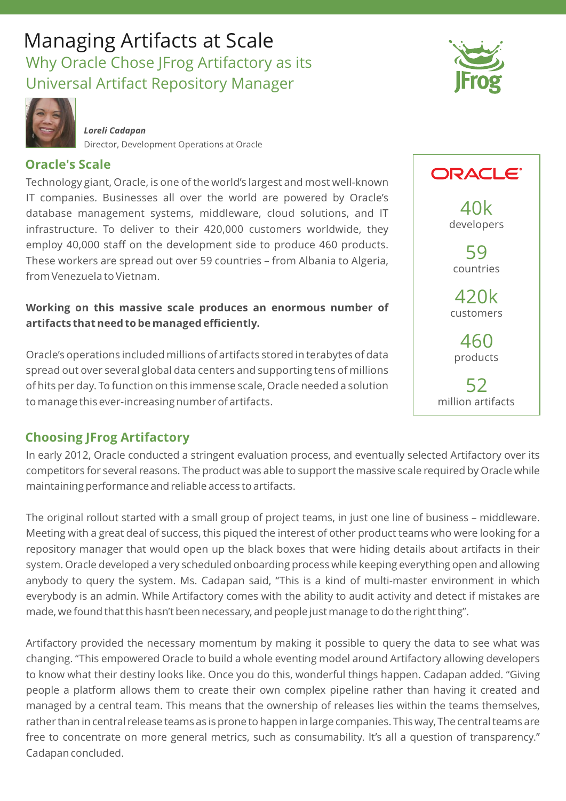# Managing Artifacts at Scale Why Oracle Chose JFrog Artifactory as its Universal Artifact Repository Manager



*Loreli Cadapan* Director, Development Operations at Oracle

## **Oracle's Scale**

Technology giant, Oracle, is one of the world's largest and most well-known IT companies. Businesses all over the world are powered by Oracle's database management systems, middleware, cloud solutions, and IT infrastructure. To deliver to their 420,000 customers worldwide, they employ 40,000 staff on the development side to produce 460 products. These workers are spread out over 59 countries – from Albania to Algeria, from Venezuela to Vietnam.

### **Working on this massive scale produces an enormous number of artifacts that need to be managed efficiently.**

Oracle's operations included millions of artifacts stored in terabytes of data spread out over several global data centers and supporting tens of millions of hits per day. To function on this immense scale, Oracle needed a solution to manage this ever- increasing number of artifacts.

# **Choosing JFrog Artifactory**

In early 2012, Oracle conducted a stringent evaluation process, and eventually selected Artifactory over its competitors for several reasons. The product was able to support the massive scale required by Oracle while maintaining performance and reliable access to artifacts.

The original rollout started with a small group of project teams, in just one line of business – middleware. Meeting with a great deal of success, this piqued the interest of other product teams who were looking for a repository manager that would open up the black boxes that were hiding details about artifacts in their system. Oracle developed a very scheduled onboarding process while keeping everything open and allowing anybody to query the system. Ms. Cadapan said, "This is a kind of multi-master environment in which everybody is an admin. While Artifactory comes with the ability to audit activity and detect if mistakes are made, we found that this hasn't been necessary, and people just manage to do the right thing".

Artifactory provided the necessary momentum by making it possible to query the data to see what was changing. "This empowered Oracle to build a whole eventing model around Artifactory allowing developers to know what their destiny looks like. Once you do this, wonderful things happen. Cadapan added. "Giving people a platform allows them to create their own complex pipeline rather than having it created and managed by a central team. This means that the ownership of releases lies within the teams themselves, rather than in central release teams as is prone to happen in large companies. This way, The central teams are free to concentrate on more general metrics, such as consumability. It's all a question of transparency." Cadapan concluded.